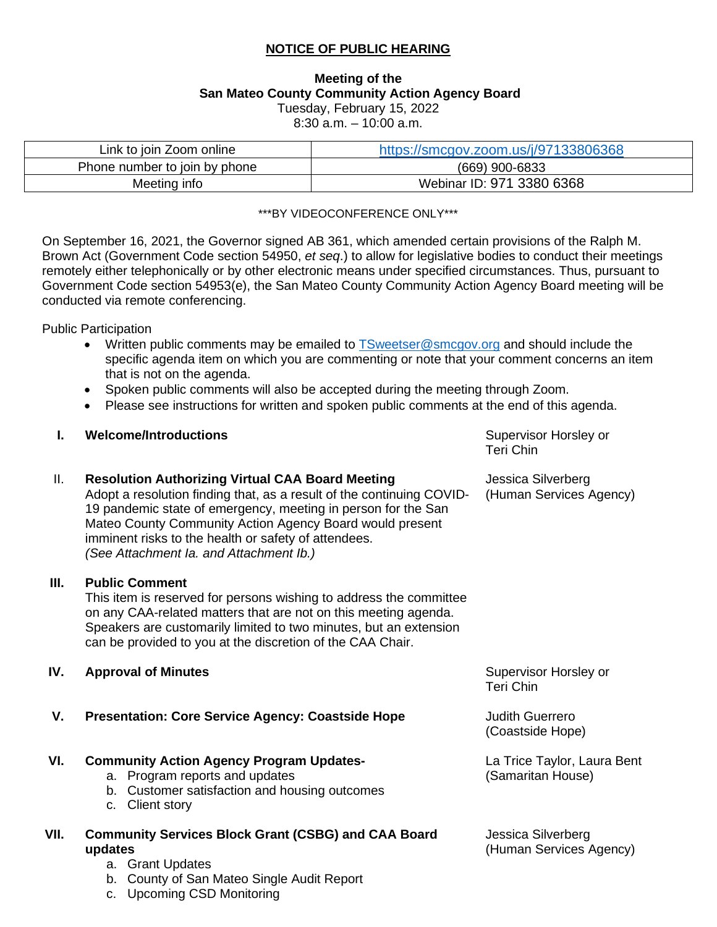## **NOTICE OF PUBLIC HEARING**

## **Meeting of the San Mateo County Community Action Agency Board**  Tuesday, February 15, 2022

8:30 a.m. – 10:00 a.m.

| Link to join Zoom online      | https://smcgov.zoom.us/j/97133806368 |
|-------------------------------|--------------------------------------|
| Phone number to join by phone | (669) 900-6833                       |
| Meeting info                  | Webinar ID: 971 3380 6368            |

#### \*\*\*BY VIDEOCONFERENCE ONLY\*\*\*

On September 16, 2021, the Governor signed AB 361, which amended certain provisions of the Ralph M. Brown Act (Government Code section 54950, *et seq*.) to allow for legislative bodies to conduct their meetings remotely either telephonically or by other electronic means under specified circumstances. Thus, pursuant to Government Code section 54953(e), the San Mateo County Community Action Agency Board meeting will be conducted via remote conferencing.

Public Participation

- Written public comments may be emailed to [TSweetser@smcgov.org](mailto:TSweetser@smcgov.org) and should include the specific agenda item on which you are commenting or note that your comment concerns an item that is not on the agenda.
- Spoken public comments will also be accepted during the meeting through Zoom.
- Please see instructions for written and spoken public comments at the end of this agenda.

#### **I. Welcome/Introductions Supervisor Horsley or Supervisor Horsley or Supervisor Horsley or**

Teri Chin

(Human Services Agency)

Jessica Silverberg

### II. **Resolution Authorizing Virtual CAA Board Meeting**

Adopt a resolution finding that, as a result of the continuing COVID-19 pandemic state of emergency, meeting in person for the San Mateo County Community Action Agency Board would present imminent risks to the health or safety of attendees. *(See Attachment Ia. and Attachment Ib.)* 

#### **III. Public Comment**

This item is reserved for persons wishing to address the committee on any CAA-related matters that are not on this meeting agenda. Speakers are customarily limited to two minutes, but an extension can be provided to you at the discretion of the CAA Chair.

#### **IV. Approval of Minutes**

**V. Presentation: Core Service Agency: Coastside Hope**

#### **VI. Community Action Agency Program Updates-**

- a. Program reports and updates
- b. Customer satisfaction and housing outcomes
- c. Client story

### **VII. Community Services Block Grant (CSBG) and CAA Board updates**

- a. Grant Updates
- b. County of San Mateo Single Audit Report
- c. Upcoming CSD Monitoring

Supervisor Horsley or Teri Chin

Judith Guerrero (Coastside Hope)

La Trice Taylor, Laura Bent (Samaritan House)

Jessica Silverberg (Human Services Agency)